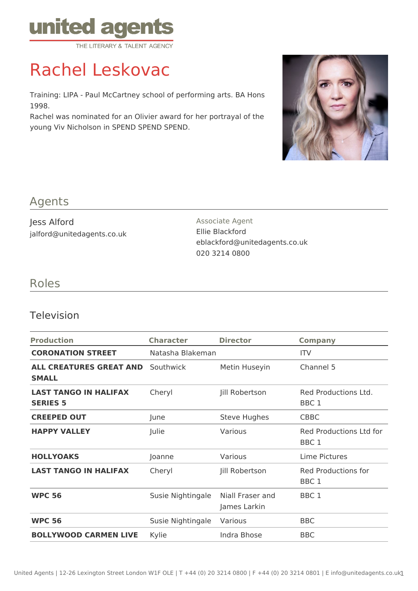

# Rachel Leskovac

Training: LIPA - Paul McCartney school of performing arts. BA Hons 1998.

Rachel was nominated for an Olivier award for her portrayal of the young Viv Nicholson in SPEND SPEND SPEND.



#### Agents

Jess Alford jalford@unitedagents.co.uk Associate Agent Ellie Blackford eblackford@unitedagents.co.uk 020 3214 0800

## Roles

#### Television

| <b>Production</b>                               | <b>Character</b>  | <b>Director</b>                                      | <b>Company</b>                           |
|-------------------------------------------------|-------------------|------------------------------------------------------|------------------------------------------|
| <b>CORONATION STREET</b>                        | Natasha Blakeman  |                                                      | <b>ITV</b>                               |
| ALL CREATURES GREAT AND<br><b>SMALL</b>         | Southwick         | Metin Huseyin                                        | Channel 5                                |
| <b>LAST TANGO IN HALIFAX</b><br><b>SERIES 5</b> | Cheryl            | Jill Robertson                                       | Red Productions Ltd.<br>BBC <sub>1</sub> |
| <b>CREEPED OUT</b>                              | June              | <b>Steve Hughes</b>                                  | <b>CBBC</b>                              |
| <b>HAPPY VALLEY</b>                             | Julie             | Various                                              | Red Productions Ltd for<br>BBC 1         |
| <b>HOLLYOAKS</b>                                | Joanne            | Various                                              | Lime Pictures                            |
| <b>LAST TANGO IN HALIFAX</b>                    | Cheryl            | Jill Robertson                                       | Red Productions for<br>BBC <sub>1</sub>  |
| <b>WPC 56</b>                                   | Susie Nightingale | Niall Fraser and<br>BBC <sub>1</sub><br>James Larkin |                                          |
| <b>WPC 56</b>                                   | Susie Nightingale | Various                                              | <b>BBC</b>                               |
| <b>BOLLYWOOD CARMEN LIVE</b>                    | Kylie             | Indra Bhose                                          | <b>BBC</b>                               |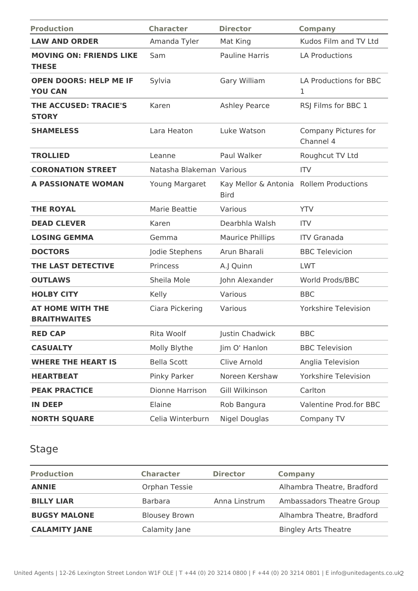| <b>Production</b>                               | <b>Character</b>         | <b>Director</b>                     | <b>Company</b>                         |
|-------------------------------------------------|--------------------------|-------------------------------------|----------------------------------------|
| <b>LAW AND ORDER</b>                            | Amanda Tyler             | Mat King                            | Kudos Film and TV Ltd                  |
| <b>MOVING ON: FRIENDS LIKE</b><br><b>THESE</b>  | Sam                      | <b>Pauline Harris</b>               | <b>LA Productions</b>                  |
| <b>OPEN DOORS: HELP ME IF</b><br><b>YOU CAN</b> | Sylvia                   | Gary William                        | LA Productions for BBC<br>$\mathbf{1}$ |
| THE ACCUSED: TRACIE'S<br><b>STORY</b>           | Karen                    | <b>Ashley Pearce</b>                | RSJ Films for BBC 1                    |
| <b>SHAMELESS</b>                                | Lara Heaton              | Luke Watson                         | Company Pictures for<br>Channel 4      |
| <b>TROLLIED</b>                                 | Leanne                   | Paul Walker                         | Roughcut TV Ltd                        |
| <b>CORONATION STREET</b>                        | Natasha Blakeman Various |                                     | <b>ITV</b>                             |
| <b>A PASSIONATE WOMAN</b>                       | Young Margaret           | Kay Mellor & Antonia<br><b>Bird</b> | <b>Rollem Productions</b>              |
| <b>THE ROYAL</b>                                | Marie Beattie            | Various                             | <b>YTV</b>                             |
| <b>DEAD CLEVER</b>                              | Karen                    | Dearbhla Walsh                      | <b>ITV</b>                             |
| <b>LOSING GEMMA</b>                             | Gemma                    | <b>Maurice Phillips</b>             | <b>ITV Granada</b>                     |
| <b>DOCTORS</b>                                  | Jodie Stephens           | Arun Bharali                        | <b>BBC Televicion</b>                  |
| THE LAST DETECTIVE                              | Princess                 | A.J Quinn                           | <b>LWT</b>                             |
| <b>OUTLAWS</b>                                  | Sheila Mole              | John Alexander                      | World Prods/BBC                        |
| <b>HOLBY CITY</b>                               | Kelly                    | Various                             | <b>BBC</b>                             |
| <b>AT HOME WITH THE</b><br><b>BRAITHWAITES</b>  | Ciara Pickering          | Various                             | <b>Yorkshire Television</b>            |
| <b>RED CAP</b>                                  | Rita Woolf               | Justin Chadwick                     | <b>BBC</b>                             |
| <b>CASUALTY</b>                                 | Molly Blythe             | Jim O' Hanlon                       | <b>BBC Television</b>                  |
| <b>WHERE THE HEART IS</b>                       | <b>Bella Scott</b>       | Clive Arnold                        | Anglia Television                      |
| <b>HEARTBEAT</b>                                | Pinky Parker             | Noreen Kershaw                      | <b>Yorkshire Television</b>            |
| <b>PEAK PRACTICE</b>                            | Dionne Harrison          | Gill Wilkinson                      | Carlton                                |
| <b>IN DEEP</b>                                  | Elaine                   | Rob Bangura                         | <b>Valentine Prod.for BBC</b>          |
| <b>NORTH SQUARE</b>                             | Celia Winterburn         | Nigel Douglas                       | Company TV                             |

## Stage

| <b>Production</b>    | <b>Character</b>     | <b>Director</b> | <b>Company</b>              |
|----------------------|----------------------|-----------------|-----------------------------|
| <b>ANNIE</b>         | Orphan Tessie        |                 | Alhambra Theatre, Bradford  |
| <b>BILLY LIAR</b>    | <b>Barbara</b>       | Anna Linstrum   | Ambassadors Theatre Group   |
| <b>BUGSY MALONE</b>  | <b>Blousey Brown</b> |                 | Alhambra Theatre, Bradford  |
| <b>CALAMITY JANE</b> | Calamity Jane        |                 | <b>Bingley Arts Theatre</b> |